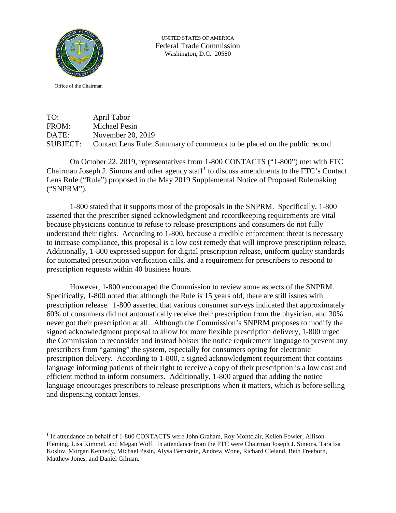

UNITED STATES OF AMERICA Federal Trade Commission Washington, D.C. 20580

Office of the Chairman

TO: April Tabor<br>FROM: Michael Pesi Michael Pesin DATE: November 20, 2019 SUBJECT: Contact Lens Rule: Summary of comments to be placed on the public record

On October 22, 2019, representatives from 1-800 CONTACTS ("1-800") met with FTC Chairman Joseph J. Simons and other agency staff<sup>[1](#page-0-0)</sup> to discuss amendments to the FTC's Contact Lens Rule ("Rule") proposed in the May 2019 Supplemental Notice of Proposed Rulemaking ("SNPRM").

1-800 stated that it supports most of the proposals in the SNPRM. Specifically, 1-800 asserted that the prescriber signed acknowledgment and recordkeeping requirements are vital because physicians continue to refuse to release prescriptions and consumers do not fully understand their rights. According to 1-800, because a credible enforcement threat is necessary to increase compliance, this proposal is a low cost remedy that will improve prescription release. Additionally, 1-800 expressed support for digital prescription release, uniform quality standards for automated prescription verification calls, and a requirement for prescribers to respond to prescription requests within 40 business hours.

However, 1-800 encouraged the Commission to review some aspects of the SNPRM. Specifically, 1-800 noted that although the Rule is 15 years old, there are still issues with prescription release. 1-800 asserted that various consumer surveys indicated that approximately 60% of consumers did not automatically receive their prescription from the physician, and 30% never got their prescription at all. Although the Commission's SNPRM proposes to modify the signed acknowledgment proposal to allow for more flexible prescription delivery, 1-800 urged the Commission to reconsider and instead bolster the notice requirement language to prevent any prescribers from "gaming" the system, especially for consumers opting for electronic prescription delivery. According to 1-800, a signed acknowledgment requirement that contains language informing patients of their right to receive a copy of their prescription is a low cost and efficient method to inform consumers. Additionally, 1-800 argued that adding the notice language encourages prescribers to release prescriptions when it matters, which is before selling and dispensing contact lenses.

<span id="page-0-0"></span><sup>&</sup>lt;sup>1</sup> In attendance on behalf of 1-800 CONTACTS were John Graham, Roy Montclair, Kellen Fowler, Allison Fleming, Lisa Kimmel, and Megan Wolf. In attendance from the FTC were Chairman Joseph J. Simons, Tara Isa Koslov, Morgan Kennedy, Michael Pesin, Alysa Bernstein, Andrew Wone, Richard Cleland, Beth Freeborn, Matthew Jones, and Daniel Gilman.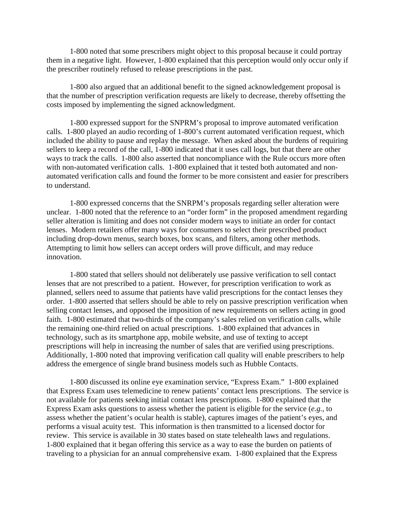1-800 noted that some prescribers might object to this proposal because it could portray them in a negative light. However, 1-800 explained that this perception would only occur only if the prescriber routinely refused to release prescriptions in the past.

1-800 also argued that an additional benefit to the signed acknowledgement proposal is that the number of prescription verification requests are likely to decrease, thereby offsetting the costs imposed by implementing the signed acknowledgment.

1-800 expressed support for the SNPRM's proposal to improve automated verification calls. 1-800 played an audio recording of 1-800's current automated verification request, which included the ability to pause and replay the message. When asked about the burdens of requiring sellers to keep a record of the call, 1-800 indicated that it uses call logs, but that there are other ways to track the calls. 1-800 also asserted that noncompliance with the Rule occurs more often with non-automated verification calls. 1-800 explained that it tested both automated and nonautomated verification calls and found the former to be more consistent and easier for prescribers to understand.

1-800 expressed concerns that the SNRPM's proposals regarding seller alteration were unclear. 1-800 noted that the reference to an "order form" in the proposed amendment regarding seller alteration is limiting and does not consider modern ways to initiate an order for contact lenses. Modern retailers offer many ways for consumers to select their prescribed product including drop-down menus, search boxes, box scans, and filters, among other methods. Attempting to limit how sellers can accept orders will prove difficult, and may reduce innovation.

1-800 stated that sellers should not deliberately use passive verification to sell contact lenses that are not prescribed to a patient. However, for prescription verification to work as planned, sellers need to assume that patients have valid prescriptions for the contact lenses they order. 1-800 asserted that sellers should be able to rely on passive prescription verification when selling contact lenses, and opposed the imposition of new requirements on sellers acting in good faith. 1-800 estimated that two-thirds of the company's sales relied on verification calls, while the remaining one-third relied on actual prescriptions. 1-800 explained that advances in technology, such as its smartphone app, mobile website, and use of texting to accept prescriptions will help in increasing the number of sales that are verified using prescriptions. Additionally, 1-800 noted that improving verification call quality will enable prescribers to help address the emergence of single brand business models such as Hubble Contacts.

1-800 discussed its online eye examination service, "Express Exam." 1-800 explained that Express Exam uses telemedicine to renew patients' contact lens prescriptions. The service is not available for patients seeking initial contact lens prescriptions. 1-800 explained that the Express Exam asks questions to assess whether the patient is eligible for the service (*e.g.*, to assess whether the patient's ocular health is stable), captures images of the patient's eyes, and performs a visual acuity test. This information is then transmitted to a licensed doctor for review. This service is available in 30 states based on state telehealth laws and regulations. 1-800 explained that it began offering this service as a way to ease the burden on patients of traveling to a physician for an annual comprehensive exam. 1-800 explained that the Express